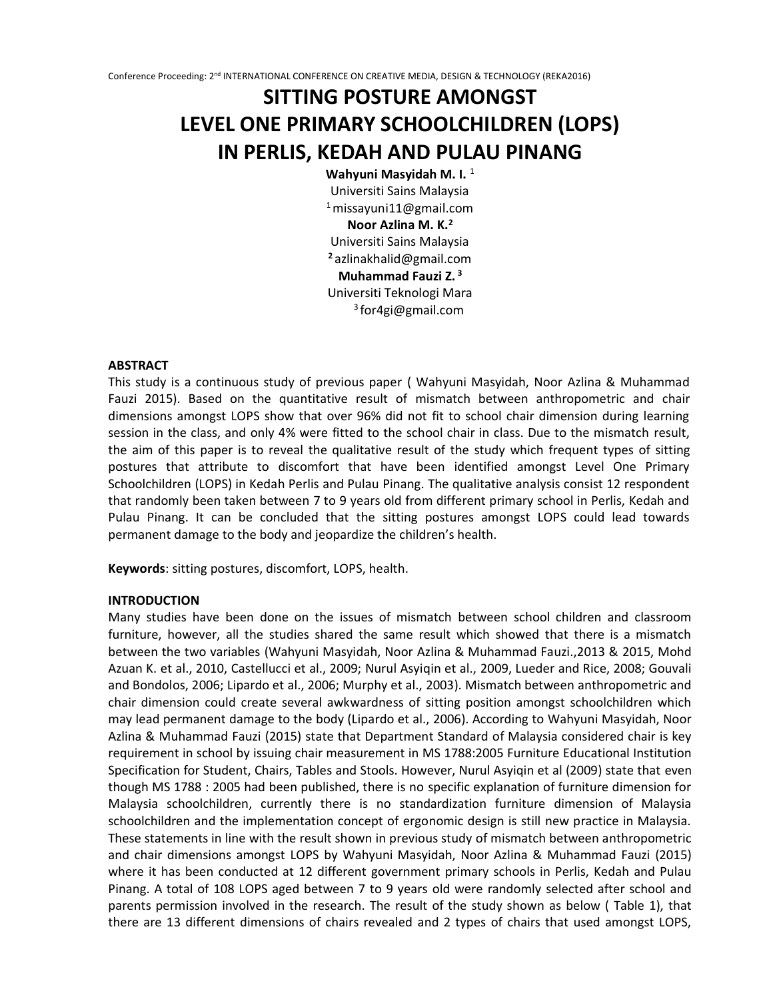# **SITTING POSTURE AMONGST LEVEL ONE PRIMARY SCHOOLCHILDREN (LOPS) IN PERLIS, KEDAH AND PULAU PINANG**

**Wahyuni Masyidah M. I.** <sup>1</sup> Universiti Sains Malaysia  $1$ missayuni $11$ @gmail.com **Noor Azlina M. K.<sup>2</sup>** Universiti Sains Malaysia **<sup>2</sup>** azlinakhalid@gmail.com **Muhammad Fauzi Z. <sup>3</sup>** Universiti Teknologi Mara 3 for4gi@gmail.com

#### **ABSTRACT**

This study is a continuous study of previous paper ( Wahyuni Masyidah, Noor Azlina & Muhammad Fauzi 2015). Based on the quantitative result of mismatch between anthropometric and chair dimensions amongst LOPS show that over 96% did not fit to school chair dimension during learning session in the class, and only 4% were fitted to the school chair in class. Due to the mismatch result, the aim of this paper is to reveal the qualitative result of the study which frequent types of sitting postures that attribute to discomfort that have been identified amongst Level One Primary Schoolchildren (LOPS) in Kedah Perlis and Pulau Pinang. The qualitative analysis consist 12 respondent that randomly been taken between 7 to 9 years old from different primary school in Perlis, Kedah and Pulau Pinang. It can be concluded that the sitting postures amongst LOPS could lead towards permanent damage to the body and jeopardize the children's health.

**Keywords**: sitting postures, discomfort, LOPS, health.

#### **INTRODUCTION**

Many studies have been done on the issues of mismatch between school children and classroom furniture, however, all the studies shared the same result which showed that there is a mismatch between the two variables (Wahyuni Masyidah, Noor Azlina & Muhammad Fauzi.,2013 & 2015, Mohd Azuan K. et al., 2010, Castellucci et al., 2009; Nurul Asyiqin et al., 2009, Lueder and Rice, 2008; Gouvali and Bondolos, 2006; Lipardo et al., 2006; Murphy et al., 2003). Mismatch between anthropometric and chair dimension could create several awkwardness of sitting position amongst schoolchildren which may lead permanent damage to the body (Lipardo et al., 2006). According to Wahyuni Masyidah, Noor Azlina & Muhammad Fauzi (2015) state that Department Standard of Malaysia considered chair is key requirement in school by issuing chair measurement in MS 1788:2005 Furniture Educational Institution Specification for Student, Chairs, Tables and Stools. However, Nurul Asyiqin et al (2009) state that even though MS 1788 : 2005 had been published, there is no specific explanation of furniture dimension for Malaysia schoolchildren, currently there is no standardization furniture dimension of Malaysia schoolchildren and the implementation concept of ergonomic design is still new practice in Malaysia. These statements in line with the result shown in previous study of mismatch between anthropometric and chair dimensions amongst LOPS by Wahyuni Masyidah, Noor Azlina & Muhammad Fauzi (2015) where it has been conducted at 12 different government primary schools in Perlis, Kedah and Pulau Pinang. A total of 108 LOPS aged between 7 to 9 years old were randomly selected after school and parents permission involved in the research. The result of the study shown as below ( Table 1), that there are 13 different dimensions of chairs revealed and 2 types of chairs that used amongst LOPS,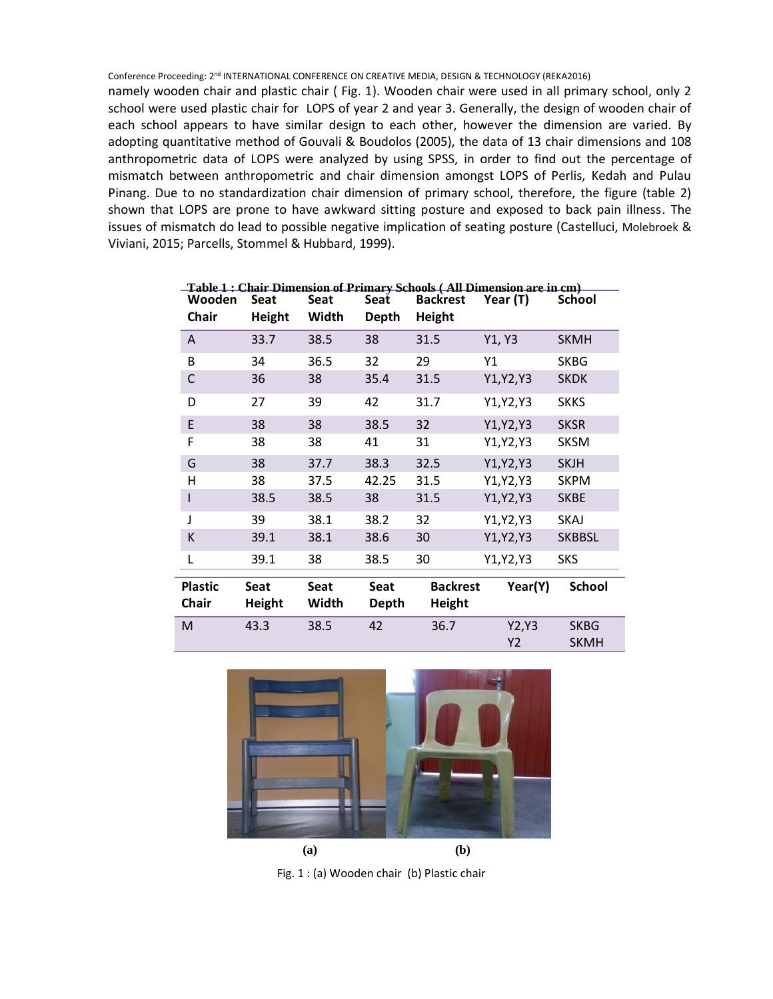namely wooden chair and plastic chair ( Fig. 1). Wooden chair were used in all primary school, only 2 school were used plastic chair for LOPS of year 2 and year 3. Generally, the design of wooden chair of each school appears to have similar design to each other, however the dimension are varied. By adopting quantitative method of Gouvali & Boudolos (2005), the data of 13 chair dimensions and 108 anthropometric data of LOPS were analyzed by using SPSS, in order to find out the percentage of mismatch between anthropometric and chair dimension amongst LOPS of Perlis, Kedah and Pulau Pinang. Due to no standardization chair dimension of primary school, therefore, the figure (table 2) shown that LOPS are prone to have awkward sitting posture and exposed to back pain illness. The issues of mismatch do lead to possible negative implication of seating posture (Castelluci, Molebroek & Viviani, 2015; Parcells, Stommel & Hubbard, 1999).

|                                |                              |                      |                             |                           | Table 1 : Chair Dimension of Primary Schools (All Dimension are in cm) |                            |
|--------------------------------|------------------------------|----------------------|-----------------------------|---------------------------|------------------------------------------------------------------------|----------------------------|
| Wooden                         | <b>Seat</b>                  | Seat                 | Seat                        | <b>Backrest</b>           | Year (T)                                                               | <b>School</b>              |
| <b>Chair</b>                   | <b>Height</b>                | Width                | Depth                       | <b>Height</b>             |                                                                        |                            |
| A                              | 33.7                         | 38.5                 | 38                          | 31.5                      | Y1, Y3                                                                 | <b>SKMH</b>                |
| B                              | 34                           | 36.5                 | 32                          | 29                        | Υ1                                                                     | <b>SKBG</b>                |
| C                              | 36                           | 38                   | 35.4                        | 31.5                      | Y1, Y2, Y3                                                             | <b>SKDK</b>                |
| D                              | 27                           | 39                   | 42                          | 31.7                      | Y1, Y2, Y3                                                             | <b>SKKS</b>                |
| $\mathsf E$                    | 38                           | 38                   | 38.5                        | 32                        | Y1, Y2, Y3                                                             | <b>SKSR</b>                |
| F                              | 38                           | 38                   | 41                          | 31                        | Y1, Y2, Y3                                                             | <b>SKSM</b>                |
| G                              | 38                           | 37.7                 | 38.3                        | 32.5                      | Y1, Y2, Y3                                                             | <b>SKJH</b>                |
| Η                              | 38                           | 37.5                 | 42.25                       | 31.5                      | Y1, Y2, Y3                                                             | <b>SKPM</b>                |
| I                              | 38.5                         | 38.5                 | 38                          | 31.5                      | Y1, Y2, Y3                                                             | <b>SKBE</b>                |
| J                              | 39                           | 38.1                 | 38.2                        | 32                        | Y1, Y2, Y3                                                             | <b>SKAJ</b>                |
| К                              | 39.1                         | 38.1                 | 38.6                        | 30                        | Y1, Y2, Y3                                                             | <b>SKBBSL</b>              |
| L                              | 39.1                         | 38                   | 38.5                        | 30                        | Y1, Y2, Y3                                                             | <b>SKS</b>                 |
| <b>Plastic</b><br><b>Chair</b> | <b>Seat</b><br><b>Height</b> | <b>Seat</b><br>Width | <b>Seat</b><br><b>Depth</b> | <b>Backrest</b><br>Height | Year(Y)                                                                | <b>School</b>              |
| M                              | 43.3                         | 38.5                 | 42                          | 36.7                      | Y2, Y3<br>Y2                                                           | <b>SKBG</b><br><b>SKMH</b> |



Fig. 1 : (a) Wooden chair (b) Plastic chair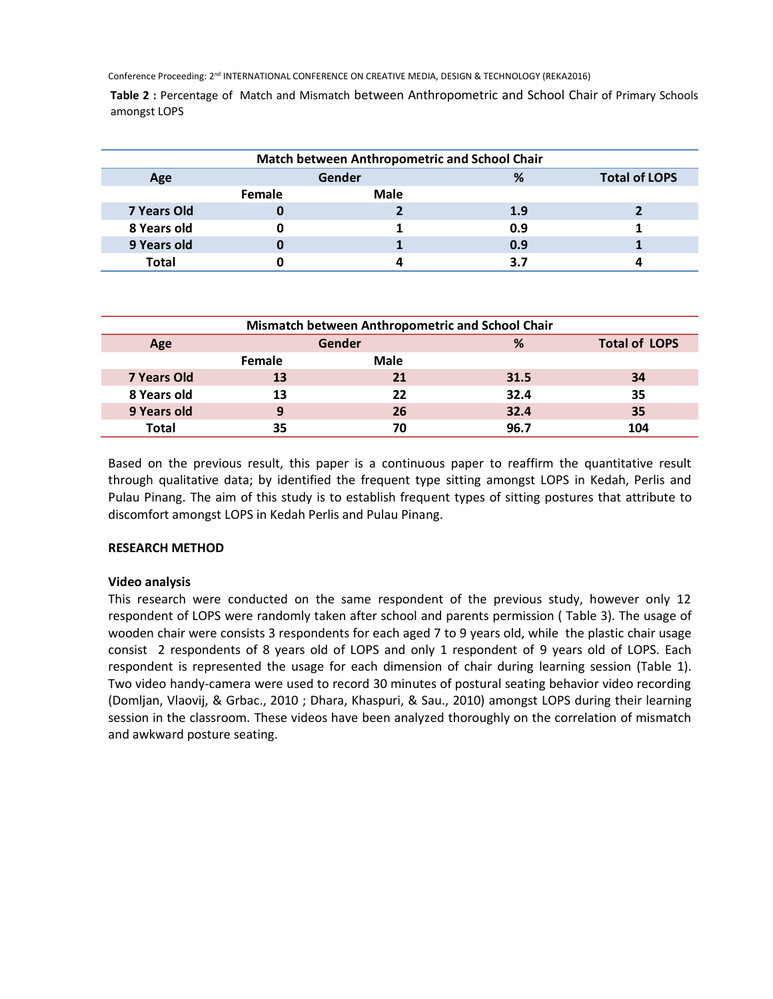**Table 2 :** Percentage of Match and Mismatch between Anthropometric and School Chair of Primary Schools amongst LOPS

|              |        | Match between Anthropometric and School Chair |     |                      |
|--------------|--------|-----------------------------------------------|-----|----------------------|
| Age          |        | Gender                                        | %   | <b>Total of LOPS</b> |
|              | Female | Male                                          |     |                      |
| 7 Years Old  | U      |                                               | 1.9 |                      |
| 8 Years old  | u      |                                               | 0.9 |                      |
| 9 Years old  | U      |                                               | 0.9 |                      |
| <b>Total</b> |        |                                               | 3.7 |                      |

| Mismatch between Anthropometric and School Chair |        |             |      |                      |
|--------------------------------------------------|--------|-------------|------|----------------------|
| Age                                              | Gender |             | %    | <b>Total of LOPS</b> |
|                                                  | Female | <b>Male</b> |      |                      |
| 7 Years Old                                      | 13     | 21          | 31.5 | 34                   |
| 8 Years old                                      | 13     | 22          | 32.4 | 35                   |
| 9 Years old                                      | 9      | 26          | 32.4 | 35                   |
| <b>Total</b>                                     | 35     | 70          | 96.7 | 104                  |

Based on the previous result, this paper is a continuous paper to reaffirm the quantitative result through qualitative data; by identified the frequent type sitting amongst LOPS in Kedah, Perlis and Pulau Pinang. The aim of this study is to establish frequent types of sitting postures that attribute to discomfort amongst LOPS in Kedah Perlis and Pulau Pinang.

# **RESEARCH METHOD**

# **Video analysis**

This research were conducted on the same respondent of the previous study, however only 12 respondent of LOPS were randomly taken after school and parents permission ( Table 3). The usage of wooden chair were consists 3 respondents for each aged 7 to 9 years old, while the plastic chair usage consist 2 respondents of 8 years old of LOPS and only 1 respondent of 9 years old of LOPS. Each respondent is represented the usage for each dimension of chair during learning session (Table 1). Two video handy-camera were used to record 30 minutes of postural seating behavior video recording (Domljan, Vlaovij, & Grbac., 2010 ; Dhara, Khaspuri, & Sau., 2010) amongst LOPS during their learning session in the classroom. These videos have been analyzed thoroughly on the correlation of mismatch and awkward posture seating.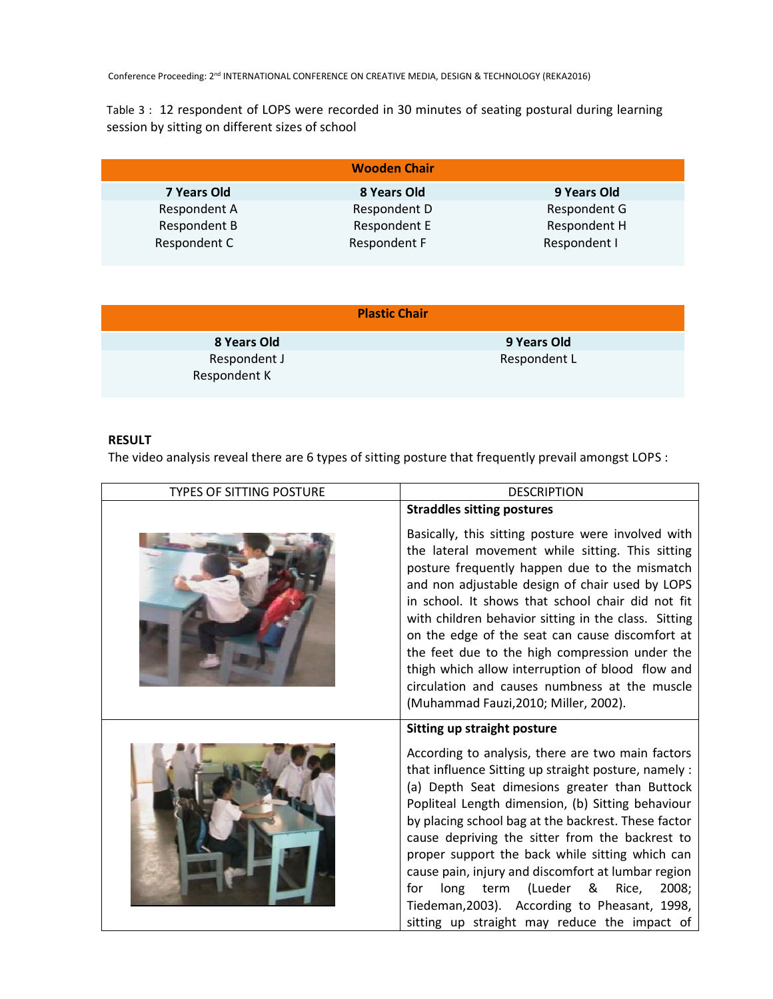Table 3 : 12 respondent of LOPS were recorded in 30 minutes of seating postural during learning session by sitting on different sizes of school

|              | <b>Wooden Chair</b> |              |
|--------------|---------------------|--------------|
| 7 Years Old  | 8 Years Old         | 9 Years Old  |
| Respondent A | Respondent D        | Respondent G |
| Respondent B | Respondent E        | Respondent H |
| Respondent C | Respondent F        | Respondent I |

|                              | <b>Plastic Chair</b> |
|------------------------------|----------------------|
| 8 Years Old                  | 9 Years Old          |
| Respondent J<br>Respondent K | Respondent L         |

# **RESULT**

The video analysis reveal there are 6 types of sitting posture that frequently prevail amongst LOPS :

| <b>TYPES OF SITTING POSTURE</b> | <b>DESCRIPTION</b>                                                                                                                                                                                                                                                                                                                                                                                                                                                                                                                                                                     |
|---------------------------------|----------------------------------------------------------------------------------------------------------------------------------------------------------------------------------------------------------------------------------------------------------------------------------------------------------------------------------------------------------------------------------------------------------------------------------------------------------------------------------------------------------------------------------------------------------------------------------------|
|                                 | <b>Straddles sitting postures</b>                                                                                                                                                                                                                                                                                                                                                                                                                                                                                                                                                      |
|                                 | Basically, this sitting posture were involved with<br>the lateral movement while sitting. This sitting<br>posture frequently happen due to the mismatch<br>and non adjustable design of chair used by LOPS<br>in school. It shows that school chair did not fit<br>with children behavior sitting in the class. Sitting<br>on the edge of the seat can cause discomfort at<br>the feet due to the high compression under the<br>thigh which allow interruption of blood flow and<br>circulation and causes numbness at the muscle<br>(Muhammad Fauzi, 2010; Miller, 2002).             |
|                                 | Sitting up straight posture                                                                                                                                                                                                                                                                                                                                                                                                                                                                                                                                                            |
|                                 | According to analysis, there are two main factors<br>that influence Sitting up straight posture, namely :<br>(a) Depth Seat dimesions greater than Buttock<br>Popliteal Length dimension, (b) Sitting behaviour<br>by placing school bag at the backrest. These factor<br>cause depriving the sitter from the backrest to<br>proper support the back while sitting which can<br>cause pain, injury and discomfort at lumbar region<br>long term<br>(Lueder<br>& Rice,<br>2008;<br>for<br>Tiedeman, 2003). According to Pheasant, 1998,<br>sitting up straight may reduce the impact of |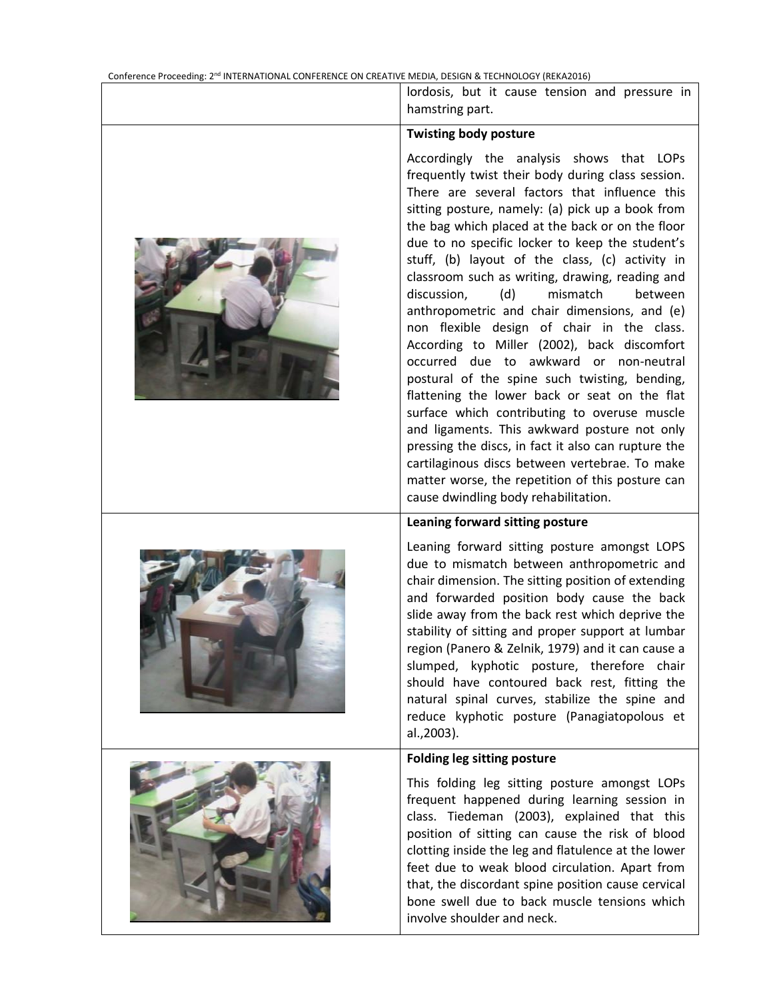| lordosis, but it cause tension and pressure in<br>hamstring part.                                                                                                                                                                                                                                                                                                                                                                                                                                                                                                                                                                                                                                                                                                                                                                                                                                                                                                                                                                                          |
|------------------------------------------------------------------------------------------------------------------------------------------------------------------------------------------------------------------------------------------------------------------------------------------------------------------------------------------------------------------------------------------------------------------------------------------------------------------------------------------------------------------------------------------------------------------------------------------------------------------------------------------------------------------------------------------------------------------------------------------------------------------------------------------------------------------------------------------------------------------------------------------------------------------------------------------------------------------------------------------------------------------------------------------------------------|
| <b>Twisting body posture</b>                                                                                                                                                                                                                                                                                                                                                                                                                                                                                                                                                                                                                                                                                                                                                                                                                                                                                                                                                                                                                               |
| Accordingly the analysis shows that LOPs<br>frequently twist their body during class session.<br>There are several factors that influence this<br>sitting posture, namely: (a) pick up a book from<br>the bag which placed at the back or on the floor<br>due to no specific locker to keep the student's<br>stuff, (b) layout of the class, (c) activity in<br>classroom such as writing, drawing, reading and<br>discussion,<br>(d)<br>mismatch<br>between<br>anthropometric and chair dimensions, and (e)<br>non flexible design of chair in the class.<br>According to Miller (2002), back discomfort<br>occurred due to awkward or non-neutral<br>postural of the spine such twisting, bending,<br>flattening the lower back or seat on the flat<br>surface which contributing to overuse muscle<br>and ligaments. This awkward posture not only<br>pressing the discs, in fact it also can rupture the<br>cartilaginous discs between vertebrae. To make<br>matter worse, the repetition of this posture can<br>cause dwindling body rehabilitation. |
| Leaning forward sitting posture                                                                                                                                                                                                                                                                                                                                                                                                                                                                                                                                                                                                                                                                                                                                                                                                                                                                                                                                                                                                                            |
| Leaning forward sitting posture amongst LOPS<br>due to mismatch between anthropometric and<br>chair dimension. The sitting position of extending<br>and forwarded position body cause the back<br>slide away from the back rest which deprive the<br>stability of sitting and proper support at lumbar<br>region (Panero & Zelnik, 1979) and it can cause a<br>slumped, kyphotic posture, therefore chair<br>should have contoured back rest, fitting the<br>natural spinal curves, stabilize the spine and<br>reduce kyphotic posture (Panagiatopolous et<br>al., 2003).                                                                                                                                                                                                                                                                                                                                                                                                                                                                                  |
| <b>Folding leg sitting posture</b>                                                                                                                                                                                                                                                                                                                                                                                                                                                                                                                                                                                                                                                                                                                                                                                                                                                                                                                                                                                                                         |
| This folding leg sitting posture amongst LOPs<br>frequent happened during learning session in<br>class. Tiedeman (2003), explained that this<br>position of sitting can cause the risk of blood<br>clotting inside the leg and flatulence at the lower<br>feet due to weak blood circulation. Apart from<br>that, the discordant spine position cause cervical<br>bone swell due to back muscle tensions which<br>involve shoulder and neck.                                                                                                                                                                                                                                                                                                                                                                                                                                                                                                                                                                                                               |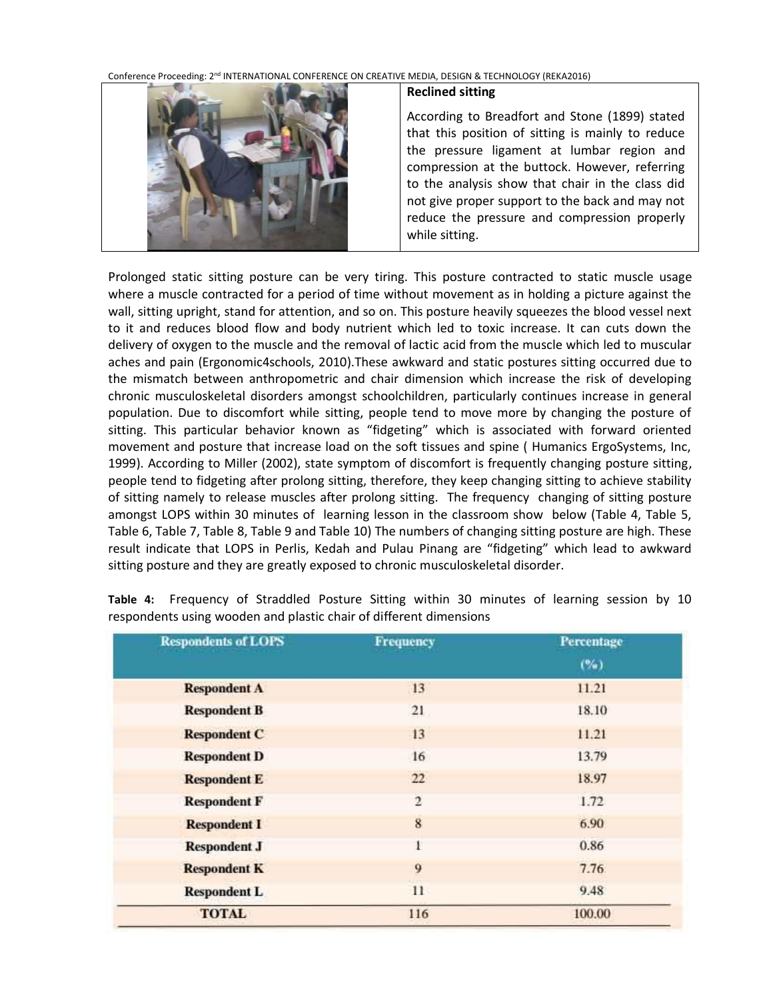

# **Reclined sitting**

According to Breadfort and Stone (1899) stated that this position of sitting is mainly to reduce the pressure ligament at lumbar region and compression at the buttock. However, referring to the analysis show that chair in the class did not give proper support to the back and may not reduce the pressure and compression properly while sitting.

Prolonged static sitting posture can be very tiring. This posture contracted to static muscle usage where a muscle contracted for a period of time without movement as in holding a picture against the wall, sitting upright, stand for attention, and so on. This posture heavily squeezes the blood vessel next to it and reduces blood flow and body nutrient which led to toxic increase. It can cuts down the delivery of oxygen to the muscle and the removal of lactic acid from the muscle which led to muscular aches and pain (Ergonomic4schools, 2010).These awkward and static postures sitting occurred due to the mismatch between anthropometric and chair dimension which increase the risk of developing chronic musculoskeletal disorders amongst schoolchildren, particularly continues increase in general population. Due to discomfort while sitting, people tend to move more by changing the posture of sitting. This particular behavior known as "fidgeting" which is associated with forward oriented movement and posture that increase load on the soft tissues and spine ( Humanics ErgoSystems, Inc, 1999). According to Miller (2002), state symptom of discomfort is frequently changing posture sitting, people tend to fidgeting after prolong sitting, therefore, they keep changing sitting to achieve stability of sitting namely to release muscles after prolong sitting. The frequency changing of sitting posture amongst LOPS within 30 minutes of learning lesson in the classroom show below (Table 4, Table 5, Table 6, Table 7, Table 8, Table 9 and Table 10) The numbers of changing sitting posture are high. These result indicate that LOPS in Perlis, Kedah and Pulau Pinang are "fidgeting" which lead to awkward sitting posture and they are greatly exposed to chronic musculoskeletal disorder.

| <b>Respondents of LOPS</b> | <b>Frequency</b> | Percentage |
|----------------------------|------------------|------------|
|                            |                  | (%)        |
| <b>Respondent A</b>        | 13               | 11.21      |
| <b>Respondent B</b>        | 21               | 18.10      |
| <b>Respondent C</b>        | 13               | 11.21      |
| <b>Respondent D</b>        | 16               | 13.79      |
| <b>Respondent E</b>        | 22               | 18.97      |
| <b>Respondent F</b>        | $\overline{2}$   | 1.72       |
| <b>Respondent I</b>        | $\overline{8}$   | 6.90       |
| <b>Respondent J</b>        |                  | 0.86       |
| <b>Respondent K</b>        | 9                | 7.76       |
| <b>Respondent L</b>        | 11               | 9.48       |
| <b>TOTAL</b>               | 116              | 100.00     |

**Table 4:** Frequency of Straddled Posture Sitting within 30 minutes of learning session by 10 respondents using wooden and plastic chair of different dimensions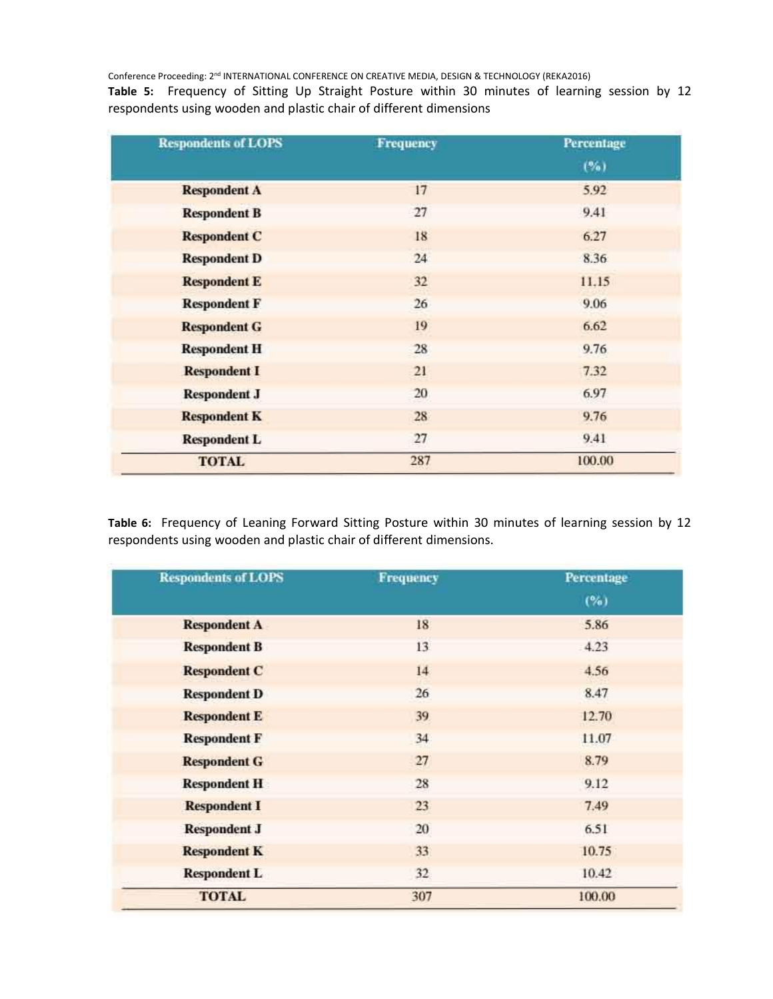**Table 5:** Frequency of Sitting Up Straight Posture within 30 minutes of learning session by 12 respondents using wooden and plastic chair of different dimensions

| <b>Respondents of LOPS</b> | <b>Frequency</b> | Percentage |  |
|----------------------------|------------------|------------|--|
|                            |                  | $(\%)$     |  |
| <b>Respondent A</b>        | 17               | 5.92       |  |
| <b>Respondent B</b>        | 27               | 9.41       |  |
| <b>Respondent C</b>        | 18               | 6.27       |  |
| <b>Respondent D</b>        | 24               | 8.36       |  |
| <b>Respondent E</b>        | 32               | 11.15      |  |
| <b>Respondent F</b>        | 26               | 9.06       |  |
| <b>Respondent G</b>        | 19               | 6.62       |  |
| <b>Respondent H</b>        | 28               | 9.76       |  |
| <b>Respondent I</b>        | 21               | 7.32       |  |
| <b>Respondent J</b>        | 20               | 6.97       |  |
| <b>Respondent K</b>        | 28               | 9.76       |  |
| <b>Respondent L</b>        | 27               | 9.41       |  |
| <b>TOTAL</b>               | 287              | 100.00     |  |

**Table 6:** Frequency of Leaning Forward Sitting Posture within 30 minutes of learning session by 12 respondents using wooden and plastic chair of different dimensions.

| <b>Respondents of LOPS</b> | <b>Frequency</b> | Percentage |  |
|----------------------------|------------------|------------|--|
|                            |                  | (%)        |  |
| <b>Respondent A</b>        | 18               | 5.86       |  |
| <b>Respondent B</b>        | 13               | 4.23       |  |
| <b>Respondent C</b>        | 14               | 4.56       |  |
| <b>Respondent D</b>        | 26               | 8.47       |  |
| <b>Respondent E</b>        | 39               | 12.70      |  |
| <b>Respondent F</b>        | 34               | 11.07      |  |
| <b>Respondent G</b>        | 27               | 8.79       |  |
| <b>Respondent H</b>        | 28               | 9.12       |  |
| <b>Respondent I</b>        | 23               | 7.49       |  |
| <b>Respondent J</b>        | 20               | 6.51       |  |
| <b>Respondent K</b>        | 33               | 10.75      |  |
| <b>Respondent L</b>        | 32               | 10.42      |  |
| <b>TOTAL</b>               | 307              | 100.00     |  |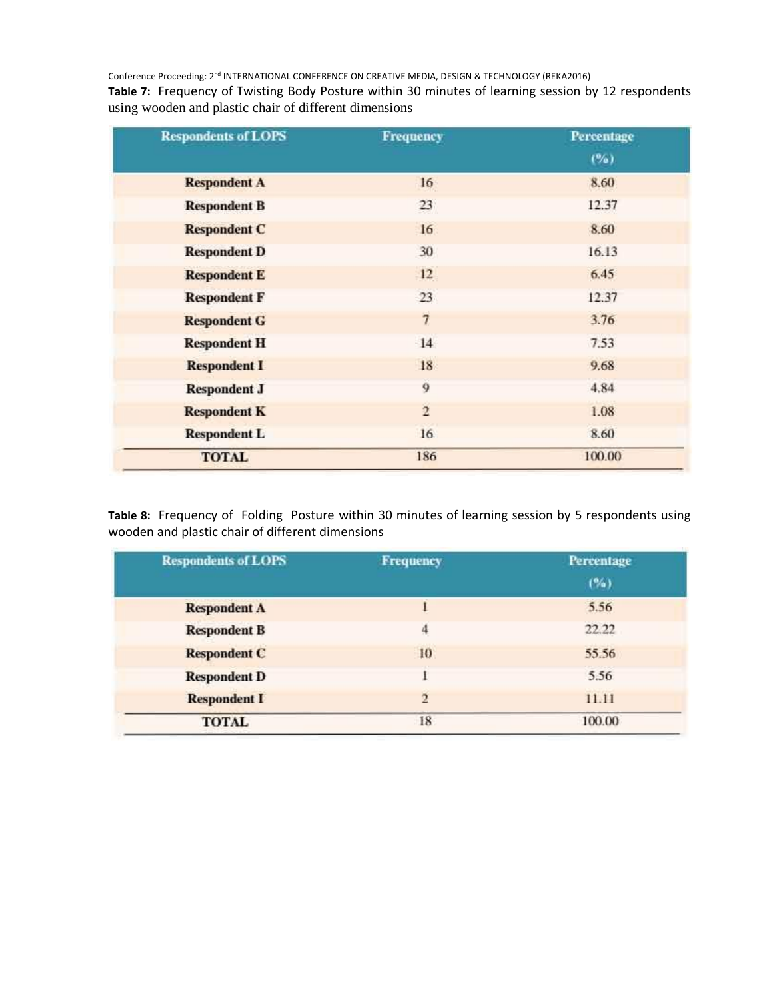**Table 7:** Frequency of Twisting Body Posture within 30 minutes of learning session by 12 respondents using wooden and plastic chair of different dimensions

| <b>Respondents of LOPS</b> | <b>Frequency</b> | Percentage |  |
|----------------------------|------------------|------------|--|
|                            |                  | (%)        |  |
| <b>Respondent A</b>        | 16               | 8.60       |  |
| <b>Respondent B</b>        | 23               | 12.37      |  |
| <b>Respondent C</b>        | 16               | 8.60       |  |
| <b>Respondent D</b>        | 30               | 16.13      |  |
| <b>Respondent E</b>        | 12               | 6.45       |  |
| <b>Respondent F</b>        | 23               | 12.37      |  |
| <b>Respondent G</b>        | $\overline{7}$   | 3.76       |  |
| <b>Respondent H</b>        | 14               | 7.53       |  |
| <b>Respondent I</b>        | 18               | 9.68       |  |
| <b>Respondent J</b>        | 9                | 4.84       |  |
| <b>Respondent K</b>        | $\overline{2}$   | 1.08       |  |
| <b>Respondent L</b>        | 16               | 8.60       |  |
| <b>TOTAL</b>               | 186              | 100.00     |  |

**Table 8:** Frequency of Folding Posture within 30 minutes of learning session by 5 respondents using wooden and plastic chair of different dimensions

| <b>Respondents of LOPS</b> | Frequency      | Percentage |
|----------------------------|----------------|------------|
|                            |                | (%)        |
| <b>Respondent A</b>        |                | 5.56       |
| <b>Respondent B</b>        | $\overline{4}$ | 22.22      |
| <b>Respondent C</b>        | 10             | 55.56      |
| <b>Respondent D</b>        |                | 5.56       |
| <b>Respondent I</b>        | $\overline{2}$ | 11.11      |
| <b>TOTAL</b>               | 18             | 100.00     |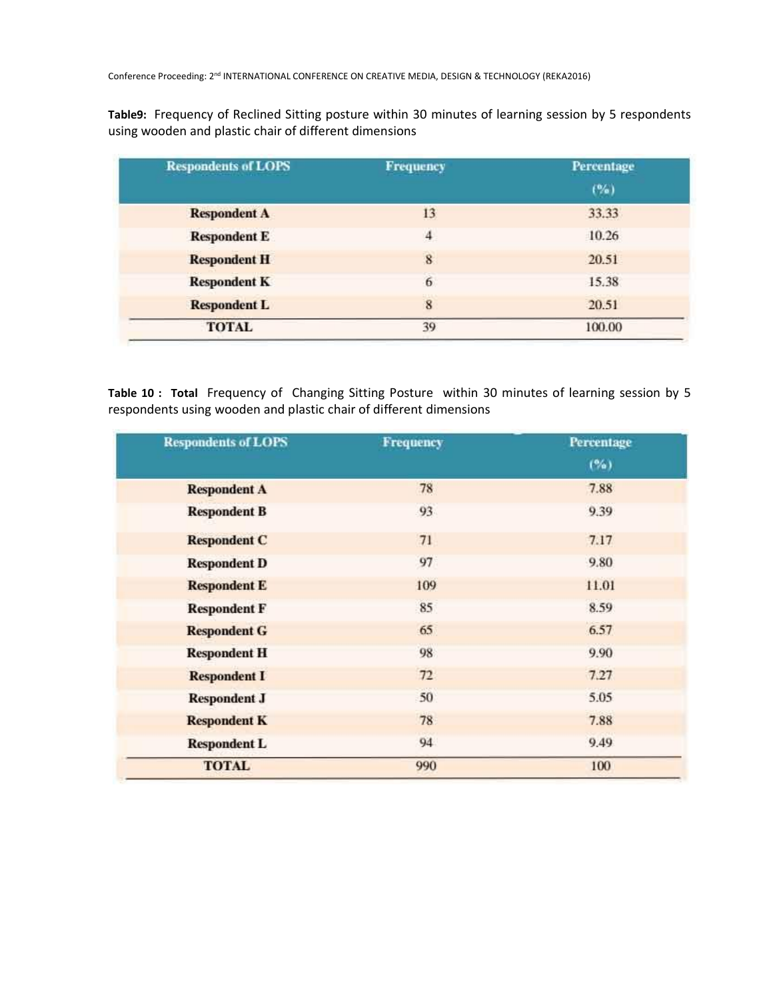**Table9:** Frequency of Reclined Sitting posture within 30 minutes of learning session by 5 respondents using wooden and plastic chair of different dimensions

| <b>Respondents of LOPS</b> | Frequency      | Percentage |
|----------------------------|----------------|------------|
|                            |                | (%)        |
| <b>Respondent A</b>        | 13             | 33.33      |
| <b>Respondent E</b>        | $\overline{4}$ | 10.26      |
| <b>Respondent H</b>        | 8              | 20.51      |
| <b>Respondent K</b>        | 6              | 15.38      |
| <b>Respondent L</b>        | 8              | 20.51      |
| <b>TOTAL</b>               | 39             | 100.00     |

**Table 10 : Total** Frequency of Changing Sitting Posture within 30 minutes of learning session by 5 respondents using wooden and plastic chair of different dimensions

| <b>Respondents of LOPS</b> | <b>Frequency</b> | Percentage |
|----------------------------|------------------|------------|
|                            |                  | (%)        |
| <b>Respondent A</b>        | 78               | 7.88       |
| <b>Respondent B</b>        | 93               | 9.39       |
| <b>Respondent C</b>        | 71               | 7.17       |
| <b>Respondent D</b>        | 97               | 9.80       |
| <b>Respondent E</b>        | 109              | 11.01      |
| <b>Respondent F</b>        | 85               | 8.59       |
| <b>Respondent G</b>        | 65               | 6.57       |
| <b>Respondent H</b>        | 98               | 9.90       |
| <b>Respondent I</b>        | 72               | 7.27       |
| <b>Respondent J</b>        | 50               | 5.05       |
| <b>Respondent K</b>        | 78               | 7.88       |
| <b>Respondent L</b>        | 94               | 9.49       |
| <b>TOTAL</b>               | 990              | 100        |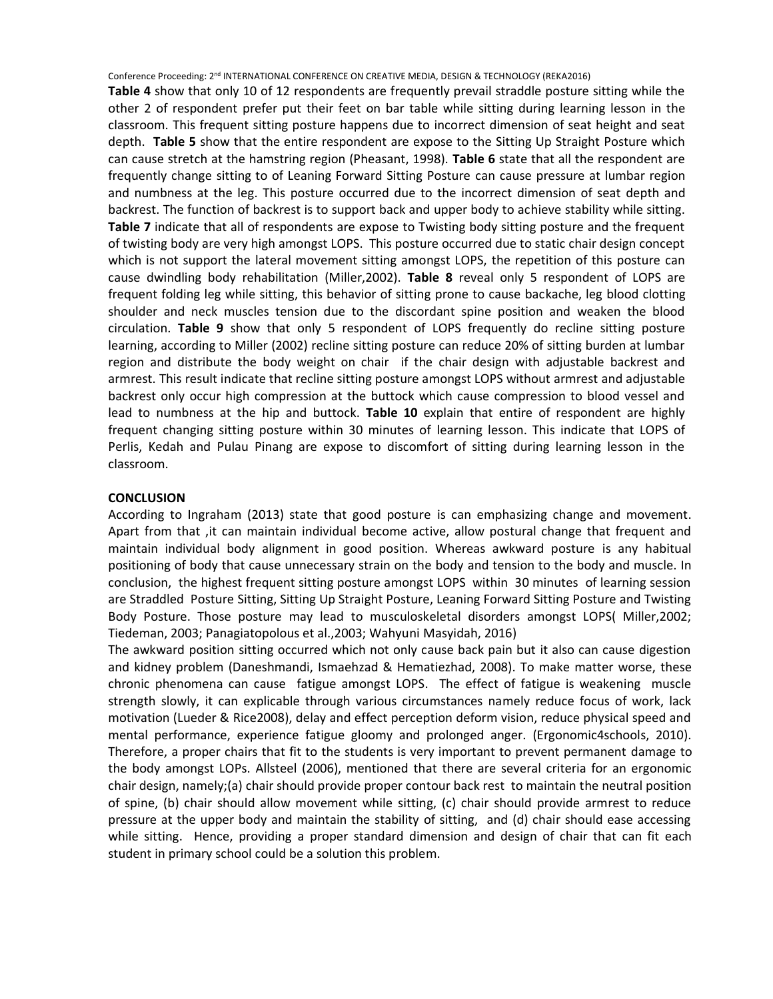**Table 4** show that only 10 of 12 respondents are frequently prevail straddle posture sitting while the other 2 of respondent prefer put their feet on bar table while sitting during learning lesson in the classroom. This frequent sitting posture happens due to incorrect dimension of seat height and seat depth. **Table 5** show that the entire respondent are expose to the Sitting Up Straight Posture which can cause stretch at the hamstring region (Pheasant, 1998). **Table 6** state that all the respondent are frequently change sitting to of Leaning Forward Sitting Posture can cause pressure at lumbar region and numbness at the leg. This posture occurred due to the incorrect dimension of seat depth and backrest. The function of backrest is to support back and upper body to achieve stability while sitting. **Table 7** indicate that all of respondents are expose to Twisting body sitting posture and the frequent of twisting body are very high amongst LOPS. This posture occurred due to static chair design concept which is not support the lateral movement sitting amongst LOPS, the repetition of this posture can cause dwindling body rehabilitation (Miller,2002). **Table 8** reveal only 5 respondent of LOPS are frequent folding leg while sitting, this behavior of sitting prone to cause backache, leg blood clotting shoulder and neck muscles tension due to the discordant spine position and weaken the blood circulation. **Table 9** show that only 5 respondent of LOPS frequently do recline sitting posture learning, according to Miller (2002) recline sitting posture can reduce 20% of sitting burden at lumbar region and distribute the body weight on chair if the chair design with adjustable backrest and armrest. This result indicate that recline sitting posture amongst LOPS without armrest and adjustable backrest only occur high compression at the buttock which cause compression to blood vessel and lead to numbness at the hip and buttock. **Table 10** explain that entire of respondent are highly frequent changing sitting posture within 30 minutes of learning lesson. This indicate that LOPS of Perlis, Kedah and Pulau Pinang are expose to discomfort of sitting during learning lesson in the classroom.

### **CONCLUSION**

According to Ingraham (2013) state that good posture is can emphasizing change and movement. Apart from that ,it can maintain individual become active, allow postural change that frequent and maintain individual body alignment in good position. Whereas awkward posture is any habitual positioning of body that cause unnecessary strain on the body and tension to the body and muscle. In conclusion, the highest frequent sitting posture amongst LOPS within 30 minutes of learning session are Straddled Posture Sitting, Sitting Up Straight Posture, Leaning Forward Sitting Posture and Twisting Body Posture. Those posture may lead to musculoskeletal disorders amongst LOPS( Miller,2002; Tiedeman, 2003; Panagiatopolous et al.,2003; Wahyuni Masyidah, 2016)

The awkward position sitting occurred which not only cause back pain but it also can cause digestion and kidney problem (Daneshmandi, Ismaehzad & Hematiezhad, 2008). To make matter worse, these chronic phenomena can cause fatigue amongst LOPS. The effect of fatigue is weakening muscle strength slowly, it can explicable through various circumstances namely reduce focus of work, lack motivation (Lueder & Rice2008), delay and effect perception deform vision, reduce physical speed and mental performance, experience fatigue gloomy and prolonged anger. (Ergonomic4schools, 2010). Therefore, a proper chairs that fit to the students is very important to prevent permanent damage to the body amongst LOPs. Allsteel (2006), mentioned that there are several criteria for an ergonomic chair design, namely;(a) chair should provide proper contour back rest to maintain the neutral position of spine, (b) chair should allow movement while sitting, (c) chair should provide armrest to reduce pressure at the upper body and maintain the stability of sitting, and (d) chair should ease accessing while sitting. Hence, providing a proper standard dimension and design of chair that can fit each student in primary school could be a solution this problem.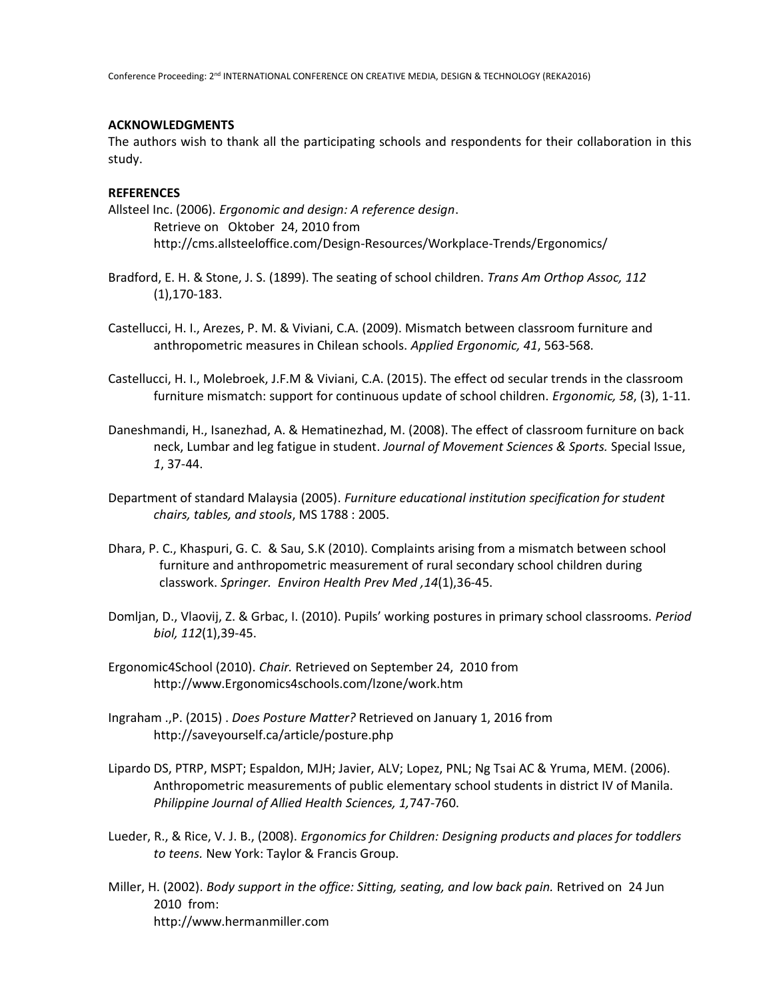# **ACKNOWLEDGMENTS**

The authors wish to thank all the participating schools and respondents for their collaboration in this study.

## **REFERENCES**

Allsteel Inc. (2006). *Ergonomic and design: A reference design*. Retrieve on Oktober 24, 2010 from <http://cms.allsteeloffice.com/Design-Resources/Workplace-Trends/Ergonomics/>

- Bradford, E. H. & Stone, J. S. (1899). The seating of school children. *Trans Am Orthop Assoc, 112*  (1),170-183.
- Castellucci, H. I., Arezes, P. M. & Viviani, C.A. (2009). Mismatch between classroom furniture and anthropometric measures in Chilean schools. *Applied Ergonomic, 41*, 563-568.
- Castellucci, H. I., Molebroek, J.F.M & Viviani, C.A. (2015). The effect od secular trends in the classroom furniture mismatch: support for continuous update of school children. *Ergonomic, 58*, (3), 1-11.
- Daneshmandi, H., Isanezhad, A. & Hematinezhad, M. (2008). The effect of classroom furniture on back neck, Lumbar and leg fatigue in student. *Journal of Movement Sciences & Sports.* Special Issue, *1*, 37-44.
- Department of standard Malaysia (2005). *Furniture educational institution specification for student chairs, tables, and stools*, MS 1788 : 2005.
- Dhara, P. C., Khaspuri, G. C. & Sau, S.K (2010). Complaints arising from a mismatch between school furniture and anthropometric measurement of rural secondary school children during classwork. *Springer. Environ Health Prev Med ,14*(1),36-45.
- Domljan, D., Vlaovij, Z. & Grbac, I. (2010). Pupils' working postures in primary school classrooms. *Period biol, 112*(1),39-45.
- Ergonomic4School (2010). *Chair.* Retrieved on September 24, 2010 from [http://www.Ergonomics4schools.com/lzone/work.htm](http://www.ergonomics4schools.com/lzone/work.htm)
- Ingraham .,P. (2015) . *Does Posture Matter?* Retrieved on January 1, 2016 from http://saveyourself.ca/article/posture.php
- Lipardo DS, PTRP, MSPT; Espaldon, MJH; Javier, ALV; Lopez, PNL; Ng Tsai AC & Yruma, MEM. (2006). Anthropometric measurements of public elementary school students in district IV of Manila. *Philippine Journal of Allied Health Sciences, 1,*747-760.
- Lueder, R., & Rice, V. J. B., (2008). *Ergonomics for Children: Designing products and places for toddlers to teens.* New York: Taylor & Francis Group.
- Miller, H. (2002). *Body support in the office: Sitting, seating, and low back pain.* Retrived on 24 Jun 2010 from: [http://www.hermanmiller.com](http://www.hermanmiller.com/)